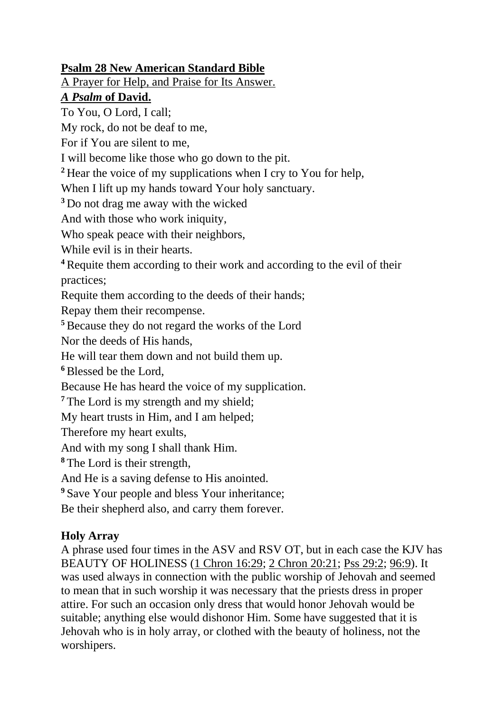## **Psalm 28 New American Standard Bible**

A Prayer for Help, and Praise for Its Answer.

## *A Psalm* **of David.**

To You, O Lord, I call;

My rock, do not be deaf to me,

For if You are silent to me,

I will become like those who go down to the pit.

**<sup>2</sup>** Hear the voice of my supplications when I cry to You for help,

When I lift up my hands toward Your holy sanctuary.

**<sup>3</sup>** Do not drag me away with the wicked

And with those who work iniquity,

Who speak peace with their neighbors,

While evil is in their hearts.

**<sup>4</sup>**Requite them according to their work and according to the evil of their practices;

Requite them according to the deeds of their hands;

Repay them their recompense.

**<sup>5</sup>**Because they do not regard the works of the Lord

Nor the deeds of His hands,

He will tear them down and not build them up.

**<sup>6</sup>**Blessed be the Lord,

Because He has heard the voice of my supplication.

<sup>7</sup> The Lord is my strength and my shield;

My heart trusts in Him, and I am helped;

Therefore my heart exults,

And with my song I shall thank Him.

**<sup>8</sup>** The Lord is their strength,

And He is a saving defense to His anointed.

**<sup>9</sup>** Save Your people and bless Your inheritance;

Be their shepherd also, and carry them forever.

## **Holy Array**

A phrase used four times in the ASV and RSV OT, but in each case the KJV has BEAUTY OF HOLINESS [\(1 Chron 16:29;](https://www.biblegateway.com/passage/?search=1Chr%2016:29) [2 Chron](https://www.biblegateway.com/passage/?search=2Chr%2020:21) 20:21; [Pss 29:2;](https://www.biblegateway.com/passage/?search=Ps%2029:2) [96:9\)](https://www.biblegateway.com/passage/?search=Ps%2096:9). It was used always in connection with the public worship of Jehovah and seemed to mean that in such worship it was necessary that the priests dress in proper attire. For such an occasion only dress that would honor Jehovah would be suitable; anything else would dishonor Him. Some have suggested that it is Jehovah who is in holy array, or clothed with the beauty of holiness, not the worshipers.